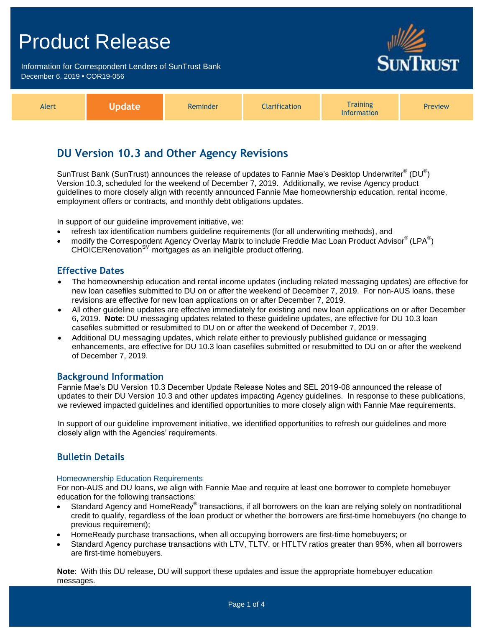Information for Correspondent Lenders of SunTrust Bank December 6, 2019 **•** COR19-056



| Alert |  | Reminder | <b>Clarification</b> | <b>Fraining</b><br>Information | <b>Preview</b> |
|-------|--|----------|----------------------|--------------------------------|----------------|
|-------|--|----------|----------------------|--------------------------------|----------------|

## **DU Version 10.3 and Other Agency Revisions**

SunTrust Bank (SunTrust) announces the release of updates to Fannie Mae's Desktop Underwriter $^{\circledast}$  (DU $^{\circledast}$ ) Version 10.3, scheduled for the weekend of December 7, 2019. Additionally, we revise Agency product guidelines to more closely align with recently announced Fannie Mae homeownership education, rental income, employment offers or contracts, and monthly debt obligations updates.

In support of our guideline improvement initiative, we:

- refresh tax identification numbers guideline requirements (for all underwriting methods), and
- modify the Correspondent Agency Overlay Matrix to include Freddie Mac Loan Product Advisor® (LPA®)  $CHOICERenovation<sup>SM</sup> mortgages as an ineligible product offering.$

### **Effective Dates**

- The homeownership education and rental income updates (including related messaging updates) are effective for new loan casefiles submitted to DU on or after the weekend of December 7, 2019. For non-AUS loans, these revisions are effective for new loan applications on or after December 7, 2019.
- All other guideline updates are effective immediately for existing and new loan applications on or after December 6, 2019. **Note**: DU messaging updates related to these guideline updates, are effective for DU 10.3 loan casefiles submitted or resubmitted to DU on or after the weekend of December 7, 2019.
- Additional DU messaging updates, which relate either to previously published guidance or messaging enhancements, are effective for DU 10.3 loan casefiles submitted or resubmitted to DU on or after the weekend of December 7, 2019.

### **Background Information**

Fannie Mae's DU Version 10.3 December Update Release Notes and SEL 2019-08 announced the release of updates to their DU Version 10.3 and other updates impacting Agency guidelines. In response to these publications, we reviewed impacted guidelines and identified opportunities to more closely align with Fannie Mae requirements.

In support of our guideline improvement initiative, we identified opportunities to refresh our guidelines and more closely align with the Agencies' requirements.

## **Bulletin Details**

### Homeownership Education Requirements

For non-AUS and DU loans, we align with Fannie Mae and require at least one borrower to complete homebuyer education for the following transactions:

- Standard Agency and HomeReady® transactions, if all borrowers on the loan are relying solely on nontraditional credit to qualify, regardless of the loan product or whether the borrowers are first-time homebuyers (no change to previous requirement);
- HomeReady purchase transactions, when all occupying borrowers are first-time homebuyers; or
- Standard Agency purchase transactions with LTV, TLTV, or HTLTV ratios greater than 95%, when all borrowers are first-time homebuyers.

**Note**: With this DU release, DU will support these updates and issue the appropriate homebuyer education messages.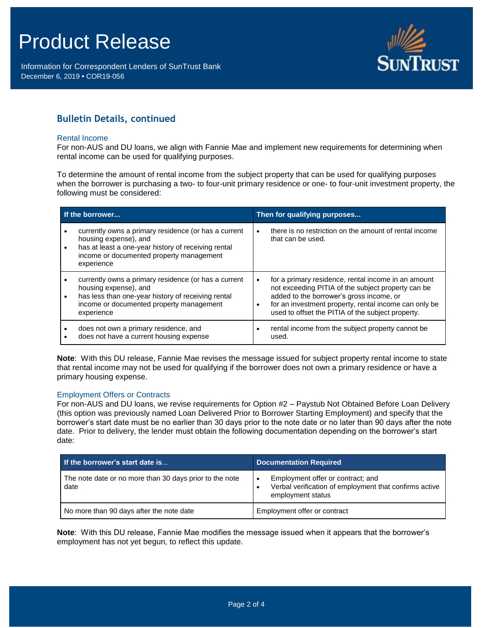Information for Correspondent Lenders of SunTrust Bank December 6, 2019 **•** COR19-056



## **Bulletin Details, continued**

#### Rental Income

For non-AUS and DU loans, we align with Fannie Mae and implement new requirements for determining when rental income can be used for qualifying purposes.

To determine the amount of rental income from the subject property that can be used for qualifying purposes when the borrower is purchasing a two- to four-unit primary residence or one- to four-unit investment property, the following must be considered:

| If the borrower |                                                                                                                                                                                                | Then for qualifying purposes |                                                                                                                                                                                                                                                                     |  |
|-----------------|------------------------------------------------------------------------------------------------------------------------------------------------------------------------------------------------|------------------------------|---------------------------------------------------------------------------------------------------------------------------------------------------------------------------------------------------------------------------------------------------------------------|--|
| $\bullet$       | currently owns a primary residence (or has a current<br>housing expense), and<br>has at least a one-year history of receiving rental<br>income or documented property management<br>experience | $\bullet$                    | there is no restriction on the amount of rental income<br>that can be used.                                                                                                                                                                                         |  |
| $\bullet$       | currently owns a primary residence (or has a current<br>housing expense), and<br>has less than one-year history of receiving rental<br>income or documented property management<br>experience  | $\bullet$<br>$\bullet$       | for a primary residence, rental income in an amount<br>not exceeding PITIA of the subject property can be<br>added to the borrower's gross income, or<br>for an investment property, rental income can only be<br>used to offset the PITIA of the subject property. |  |
|                 | does not own a primary residence, and<br>does not have a current housing expense                                                                                                               | $\bullet$                    | rental income from the subject property cannot be<br>used.                                                                                                                                                                                                          |  |

**Note**: With this DU release, Fannie Mae revises the message issued for subject property rental income to state that rental income may not be used for qualifying if the borrower does not own a primary residence or have a primary housing expense.

### Employment Offers or Contracts

For non-AUS and DU loans, we revise requirements for Option #2 – Paystub Not Obtained Before Loan Delivery (this option was previously named Loan Delivered Prior to Borrower Starting Employment) and specify that the borrower's start date must be no earlier than 30 days prior to the note date or no later than 90 days after the note date. Prior to delivery, the lender must obtain the following documentation depending on the borrower's start date:

| If the borrower's start date is                                 | <b>Documentation Required</b>                                                                                    |  |
|-----------------------------------------------------------------|------------------------------------------------------------------------------------------------------------------|--|
| The note date or no more than 30 days prior to the note<br>date | Employment offer or contract; and<br>Verbal verification of employment that confirms active<br>employment status |  |
| No more than 90 days after the note date                        | Employment offer or contract                                                                                     |  |

**Note**: With this DU release, Fannie Mae modifies the message issued when it appears that the borrower's employment has not yet begun, to reflect this update.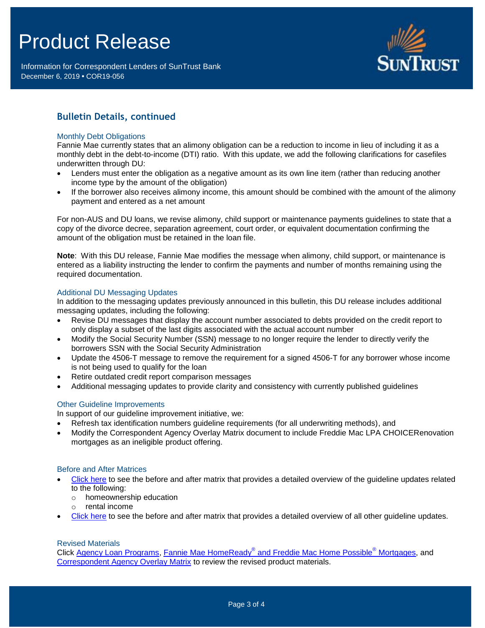Information for Correspondent Lenders of SunTrust Bank December 6, 2019 **•** COR19-056



## **Bulletin Details, continued**

#### Monthly Debt Obligations

Fannie Mae currently states that an alimony obligation can be a reduction to income in lieu of including it as a monthly debt in the debt-to-income (DTI) ratio. With this update, we add the following clarifications for casefiles underwritten through DU:

- Lenders must enter the obligation as a negative amount as its own line item (rather than reducing another income type by the amount of the obligation)
- If the borrower also receives alimony income, this amount should be combined with the amount of the alimony payment and entered as a net amount

For non-AUS and DU loans, we revise alimony, child support or maintenance payments guidelines to state that a copy of the divorce decree, separation agreement, court order, or equivalent documentation confirming the amount of the obligation must be retained in the loan file.

**Note**: With this DU release, Fannie Mae modifies the message when alimony, child support, or maintenance is entered as a liability instructing the lender to confirm the payments and number of months remaining using the required documentation.

### Additional DU Messaging Updates

In addition to the messaging updates previously announced in this bulletin, this DU release includes additional messaging updates, including the following:

- Revise DU messages that display the account number associated to debts provided on the credit report to only display a subset of the last digits associated with the actual account number
- Modify the Social Security Number (SSN) message to no longer require the lender to directly verify the borrowers SSN with the Social Security Administration
- Update the 4506-T message to remove the requirement for a signed 4506-T for any borrower whose income is not being used to qualify for the loan
- Retire outdated credit report comparison messages
- Additional messaging updates to provide clarity and consistency with currently published guidelines

### Other Guideline Improvements

In support of our guideline improvement initiative, we:

- Refresh tax identification numbers guideline requirements (for all underwriting methods), and
- Modify the Correspondent Agency Overlay Matrix document to include Freddie Mac LPA CHOICERenovation mortgages as an ineligible product offering.

### Before and After Matrices

- [Click here](http://www.truistsellerguide.com/manual/cor/products/Cr19-056BANew.pdf) to see the before and after matrix that provides a detailed overview of the guideline updates related to the following:
	- o homeownership education
	- o rental income
	- [Click here](http://www.truistsellerguide.com/manual/cor/products/Cr19-056BAExistandNew.pdf) to see the before and after matrix that provides a detailed overview of all other guideline updates.

### Revised Materials

Click [Agency Loan Programs,](https://www.truistsellerguide.com/manual/cor/products/CAgency.pdf) Fannie Mae HomeReady® [and Freddie Mac Home Possible](https://www.truistsellerguide.com/Manual/cor/products/CHomeReadyandHomePossible.pdf)® Mortgages, and [Correspondent Agency Overlay Matrix](https://www.truistsellerguide.com/manual/cor/products/CAgencyCreditOverlays.pdf) to review the revised product materials.